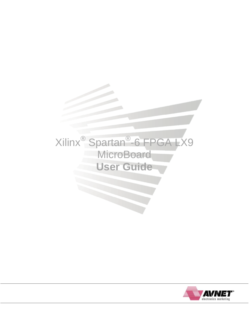# Xilinx® Spartan® -6 FPGA LX9 **MicroBoard User Guide**

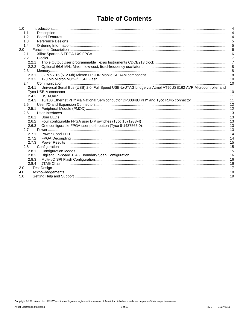### **Table of Contents**

| 1.0   |                                                                                                                     |  |
|-------|---------------------------------------------------------------------------------------------------------------------|--|
| 1.1   |                                                                                                                     |  |
| 1.2   |                                                                                                                     |  |
| 1.3   |                                                                                                                     |  |
| 1.4   |                                                                                                                     |  |
| 2.0   |                                                                                                                     |  |
| 2.1   |                                                                                                                     |  |
| 2.2   |                                                                                                                     |  |
|       | 2.2.1                                                                                                               |  |
|       | 2.2.2                                                                                                               |  |
| 2.3   |                                                                                                                     |  |
|       | 2.3.1                                                                                                               |  |
|       | 2.3.2                                                                                                               |  |
| 2.4   |                                                                                                                     |  |
|       | Universal Serial Bus (USB) 2.0, Full Speed USB-to-JTAG bridge via Atmel AT90USB162 AVR Microcontroller and<br>2.4.1 |  |
|       |                                                                                                                     |  |
|       | 2.4.2                                                                                                               |  |
|       | 10/100 Ethernet PHY via National Semiconductor DP83848J PHY and Tyco RJ45 connector  11<br>2.4.3                    |  |
| 2.5   |                                                                                                                     |  |
|       | 2.5.1                                                                                                               |  |
| 2.6   |                                                                                                                     |  |
| 2.6.1 |                                                                                                                     |  |
| 2.6.2 |                                                                                                                     |  |
|       | 2.6.3                                                                                                               |  |
| 2.7   |                                                                                                                     |  |
| 2.7.1 |                                                                                                                     |  |
| 2.7.2 |                                                                                                                     |  |
|       | 2.7.3                                                                                                               |  |
| 2.8   |                                                                                                                     |  |
| 2.8.1 |                                                                                                                     |  |
| 2.8.2 |                                                                                                                     |  |
| 2.8.3 |                                                                                                                     |  |
| 2.8.4 |                                                                                                                     |  |
| 3.0   |                                                                                                                     |  |
| 4.0   |                                                                                                                     |  |
| 5.0   |                                                                                                                     |  |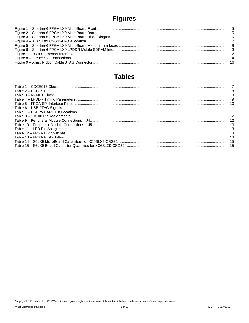# **Figures**

### **Tables**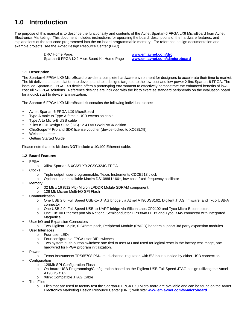### **1.0 Introduction**

The purpose of this manual is to describe the functionality and contents of the Avnet Spartan-6 FPGA LX9 MicroBoard from Avnet Electronics Marketing. This document includes instructions for operating the board, descriptions of the hardware features, and explanations of the test code programmed into the on-board programmable memory. For reference design documentation and example projects, see the Avnet Design Resource Center (DRC).

> DRC Home Page: **www.em.avnet.com/drc** Spartan-6 FPGA LX9 MicroBoard Kit Home Page **www.em.avnet.com/s6microboard**

#### **1.1 Description**

The Spartan-6 FPGA LX9 MicroBoard provides a complete hardware environment for designers to accelerate their time to market. The kit delivers a stable platform to develop and test designs targeted to the low-cost and low-power Xilinx Spartan-6 FPGA. The installed Spartan-6 FPGA LX9 device offers a prototyping environment to effectively demonstrate the enhanced benefits of lowcost Xilinx FPGA solutions. Reference designs are included with the kit to exercise standard peripherals on the evaluation board for a quick start to device familiarization.

The Spartan-6 FPGA LX9 MicroBoard kit contains the following individual pieces:

- Avnet Spartan-6 FPGA LX9 MicroBoard
- Type A male to Type A female USB extension cable
- Type A to Micro-B USB cable
- Xilinx ISE® Design Suite (IDS) 12.4 DVD WebPACK edition
- ChipScope™ Pro and SDK license voucher (device-locked to XC6SLX9)
- Welcome Letter
- **Getting Started Guide**

Please note that this kit does **NOT** include a 10/100 Ethernet cable.

#### **1.2 Board Features**

- FPGA
	- o Xilinx Spartan-6 XC6SLX9-2CSG324C FPGA
- **Clocks** 
	- o Triple output, user programmable, Texas Instruments CDCE913 clock
	- o Optional user installable Maxim DS1088LU-66+, low-cost, fixed-frequency oscillator
- **Memory** 
	- o 32 Mb x 16 (512 Mb) Micron LPDDR Mobile SDRAM component.
	- o 128 Mb Micron Multi-I/O SPI Flash
- **Communication** 
	- o One USB 2.0, Full Speed USB-to- JTAG bridge via Atmel AT90USB162, Digilent JTAG firmware, and Tyco USB-A connector
	- o One USB 2.0, Full Speed USB-to-UART bridge via Silicon Labs CP2102 and Tyco Micro-B connector.
	- o One 10/100 Ethernet port via National Semiconductor DP83848J PHY and Tyco RJ45 connector with Integrated Magnetics.
- User I/O and Expansion Connectors
	- o Two Digilent 12-pin, 0.245mm pitch, Peripheral Module (PMOD) headers support 3rd party expansion modules.
- User Interfaces
	- o Four user LEDs
		- o Four configurable FPGA user DIP switches
		- o Two system push-button switches: one tied to user I/O and used for logical reset in the factory test image, one hardwired for FPGA program initialization.
- **Power** 
	- Texas Instruments TPS65708 PMU multi-channel regulator, with 5V input supplied by either USB connection.
- **Configuration** 
	- o 128Mb SPI Configuration Flash
	- o On-board USB Programming/Configuration based on the Digilent USB Full Speed JTAG design utilizing the Atmel AT90USB162
	- o Xilinx Compatible JTAG Cable
- **Test Files** 
	- o Files that are used to factory test the Spartan-6 FPGA LX9 MicroBoard are available and can be found on the Avnet Electronics Marketing Design Resource Center (DRC) web site: **www.em.avnet.com/s6microboard**.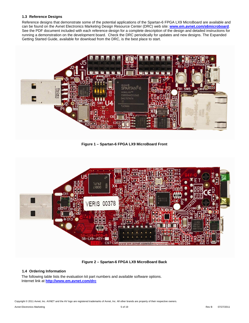#### **1.3 Reference Designs**

Reference designs that demonstrate some of the potential applications of the Spartan-6 FPGA LX9 MicroBoard are available and can be found on the Avnet Electronics Marketing Design Resource Center (DRC) web site: **www.em.avnet.com/s6microboard**. See the PDF document included with each reference design for a complete description of the design and detailed instructions for running a demonstration on the development board. Check the DRC periodically for updates and new designs. The Expanded Getting Started Guide, available for download from the DRC, is the best place to start.



**Figure 1 – Spartan-6 FPGA LX9 MicroBoard Front** 



**Figure 2 – Spartan-6 FPGA LX9 MicroBoard Back** 

#### **1.4 Ordering Information**

The following table lists the evaluation kit part numbers and available software options. Internet link at **http://www.em.avnet.com/drc**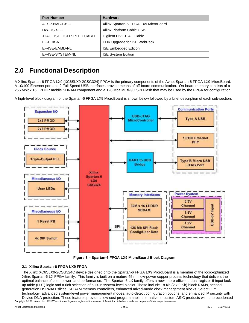| <b>Part Number</b>        | <b>Hardware</b>                      |
|---------------------------|--------------------------------------|
| AES-S6MB-LX9-G            | Xilinx Spartan-6 FPGA LX9 MicroBoard |
| HW-USB-II-G               | Xilinx Platform Cable USB-II         |
| JTAG HS1 HIGH SPEED CABLE | Digilent HS1 JTAG Cable              |
| FF-FDK-NL                 | EDK Upgrade for ISE WebPack          |
| EF-ISE-EMBD-NL            | <b>ISE Embedded Edition</b>          |
| EF-ISE-SYSTEM-NL          | <b>ISE System Edition</b>            |

### **2.0 Functional Description**

A Xilinx Spartan-6 FPGA LX9 (XC6SLX9-2CSG324) FPGA is the primary components of the Avnet Spartan-6 FPGA LX9 MicroBoard. A 10/100 Ethernet port and 2 Full Speed USB interfaces provide means of off-board communication. On-board memory consists of a 256 Mbit x 16 LPDDR mobile SDRAM component and a 128 Mbit Multi-I/O SPI Flash that may be used by the FPGA for configuration.

A high-level block diagram of the Spartan-6 FPGA LX9 MicroBoard is shown below followed by a brief description of each sub-section.





#### **2.1 Xilinx Spartan-6 FPGA LX9 FPGA**

The Xilinx XC6SLX9-2CSG324C device designed onto the Spartan-6 FPGA LX9 MicroBoard is a member of the logic-optimized Xilinx Spartan-6 LX FPGA family. This family is built on a mature 45 nm low-power copper process technology that delivers the optimal balance of cost, power, and performance. The Spartan-6 LX family offers a new, more efficient, dual-register 6-input lookup table (LUT) logic and a rich selection of built-in system-level blocks. These include 18 Kb (2 x 9 Kb) block RAMs, second generation DSP48A1 slices, SDRAM memory controllers, enhanced mixed-mode clock management blocks, SelectIO™ technology, advanced system-level power management modes, auto-detect configuration options, and enhanced IP security with Device DNA protection. These features provide a low-cost programmable alternative to custom ASIC products with unprecedented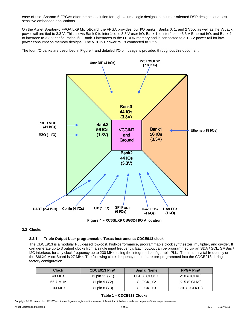ease-of-use. Spartan-6 FPGAs offer the best solution for high-volume logic designs, consumer-oriented DSP designs, and costsensitive embedded applications.

On the Avnet Spartan-6 FPGA LX9 MicroBoard, the FPGA provides four I/O banks. Banks 0, 1, and 2 Vcco as well as the Vccaux power rail are tied to 3.3 V. This allows Bank 0 to interface to 3.3 V user I/O, Bank 1 to interface to 3.3 V Ethernet I/O, and Bank 2 to interface to 3.3 V configuration I/O. Bank 3 interfaces to the LPDDR memory and is connected to a 1.8 V power rail for lowpower consumption memory designs. The VCCINT power rail is connected to 1.2 V.

The four I/O banks are described in Figure 4 and detailed I/O pin usage is provided throughout this document.



**Figure 4 – XC6SLX9 CSG324 I/O Allocation** 

#### **2.2 Clocks**

#### **2.2.1 Triple Output User programmable Texas Instruments CDCE913 clock**

The CDCE913 is a modular PLL-based low-cost, high-performance, programmable clock synthesizer, multiplier, and divider. It can generate up to 3 output clocks from a single input frequency. Each output can be programmed via an SDA / SCL, SMBus / I2C interface, for any clock frequency up to 230 MHz, using the integrated configurable PLL. The input crystal frequency on the S6LX9 MicroBoard is 27 MHz. The following clock frequency outputs are pre-programmed into the CDCE913 during factory configuration.

| <b>Clock</b> | CDCE913 Pin#               | <b>Signal Name</b> | <b>FPGA Pin#</b>                      |
|--------------|----------------------------|--------------------|---------------------------------------|
| 40 MHz       | U1 pin 11 (Y1)             | USER CLOCK         | $V10$ (GCLK0)                         |
| 66.7 MHz     | U1 pin $9(Y2)$             | CLOCK Y2           | K15 (GCLK9)                           |
| 100 MHz      | U <sub>1</sub> pin $8(Y3)$ | CLOCK Y3           | C <sub>10</sub> (GCLK <sub>13</sub> ) |

#### **Table 1 – CDCE913 Clocks**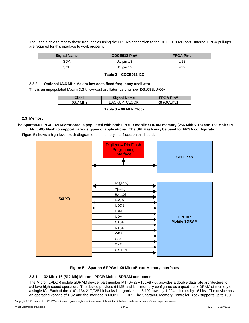The user is able to modify these frequencies using the FPGA's connection to the CDCE913 I2C port. Internal FPGA pull-ups are required for this interface to work properly.

| <b>Signal Name</b> | CDCE913 Pin# | <b>FPGA Pin#</b> |
|--------------------|--------------|------------------|
| <b>SDA</b>         | U1 pin 13    | U13              |
| SCL                | U1 pin 12    | P <sub>12</sub>  |

|  | Table 2 - CDCE913 I2C |
|--|-----------------------|
|--|-----------------------|

#### **2.2.2 Optional 66.6 MHz Maxim low-cost, fixed-frequency oscillator**

This is an unpopulated Maxim 3.3 V low-cost oscillator, part number DS1088LU-66+.

| Clock    | <b>Signal Name</b>  | <b>FPGA Pin#</b> |
|----------|---------------------|------------------|
| 66.7 MHz | <b>BACKUP CLOCK</b> | R8 (GCLK31)      |
|          |                     |                  |

**Table 3 – 66 MHz Clock** 

#### **2.3 Memory**

**The Spartan-6 FPGA LX9 MicroBoard is populated with both LPDDR mobile SDRAM memory (256 Mbit x 16) and 128 Mbit SPI Multi-I/O Flash to support various types of applications. The SPI Flash may be used for FPGA configuration.** 

Figure 5 shows a high-level block diagram of the memory interfaces on this board.



#### **Figure 5 – Spartan-6 FPGA LX9 MicroBoard Memory Interfaces**

#### **2.3.1 32 Mb x 16 (512 Mb) Micron LPDDR Mobile SDRAM component**

The Micron LPDDR mobile SDRAM device, part number MT46H32M16LFBF-5, provides a double data rate architecture to achieve high-speed operation. The device provides 64 MB and it is internally configured as a quad-bank DRAM of memory on a single IC. Each of the x16's 134,217,728-bit banks is organized as 8,192 rows by 1,024 columns by 16 bits. The device has an operating voltage of 1.8V and the interface is MOBILE\_DDR. The Spartan-6 Memory Controller Block supports up to 400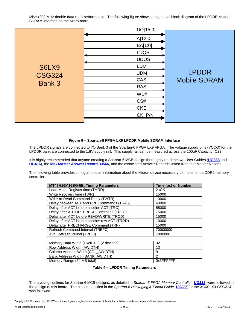Mb/s (200 MHz double data rate) performance. The following figure shows a high-level block diagram of the LPDDR Mobile SDRAM interface on the MicroBoard.

|               | DQ[15:0]    |                     |
|---------------|-------------|---------------------|
|               | A[12:0]     |                     |
|               | BA[1:0]     |                     |
|               | <b>LDQS</b> |                     |
|               | <b>UDQS</b> |                     |
| S6LX9         | <b>LDM</b>  |                     |
| <b>CSG324</b> | <b>UDM</b>  | <b>LPDDR</b>        |
|               | CAS         | <b>Mobile SDRAM</b> |
| Bank 3        | <b>RAS</b>  |                     |
|               | WE#         |                     |
|               | CS#         |                     |
|               | <b>CKE</b>  |                     |
|               | CK_P/N      |                     |
|               |             |                     |

#### **Figure 6 – Spartan-6 FPGA LX9 LPDDR Mobile SDRAM Interface**

The LPDDR signals are connected to I/O Bank 3 of the Spartan-6 FPGA LX9 FPGA. The voltage supply pins (VCCO) for the LPDDR bank are connected to the 1.8V supply rail. This supply rail can be measured across the 100uF Capacitor C22.

It is highly recommended that anyone creating a Spartan-6 MCB design thoroughly read the two User Guides (**UG388** and **UG416**), the **MIG Master Answer Record 33566**, and the associated Answer Records linked from that Master Record.

The following table provides timing and other information about the Micron device necessary to implement a DDR2 memory controller.

| MT47H16M16BG-5E: Timing Parameters            | <b>Time (ps) or Number</b> |
|-----------------------------------------------|----------------------------|
| Load Mode Register time (TMRD)                | 2 tCK                      |
| Write Recovery time (TWR)                     | 15000                      |
| Write-to-Read Command Delay (TWTR)            | 10000                      |
| Delay between ACT and PRE Commands (TRAS)     | 40000                      |
| Delay after ACT before another ACT (TRC)      | 55000                      |
| Delay after AUTOREFRESH Command (TRFC)        | 75000                      |
| Delay after ACT before READ/WRITE (TRCD)      | 15000                      |
| Delay after ACT before another row ACT (TRRD) | 10000                      |
| Delay after PRECHARGE Command (TRP)           | 15000                      |
| Refresh Command Interval (TREFC)              | 70000000                   |
| Avg. Refresh Period (TREFI)                   | 7800000                    |
|                                               |                            |
| Memory Data Width (DWIDTH) (2 devices)        | 32                         |
| Row Address Width (AWIDTH)                    | 13                         |
| Column Address Width (COL_AWIDTH)             | 9                          |
| Bank Address Width (BANK_AWIDTH)              | $\mathcal{P}$              |
| Memory Range (64 MB total)                    | 0x3FFFFFFF                 |

#### **Table 4 – LPDDR Timing Parameters**

The layout guidelines for Spartan-6 MCB designs, as detailed in Spartan-6 FPGA Memory Controller, **UG388**, were followed in the design of this board. The pinout specified in the Spartan-6 Packaging & Pinout Guide, **UG385** for the XC6SLX9-CSG324 was followed.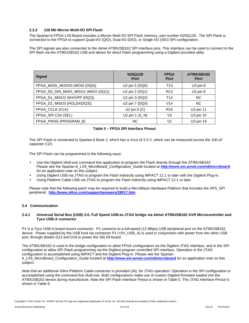#### **2.3.2 128 Mb Micron Multi-I/O SPI Flash**

The Spartan-6 FPGA LX9 Board includes a Micron Multi-I/O SPI Flash memory, part number N25Q128. The SPI Flash is connected to the FPGA to support Quad-I/O (QIO), Dual-I/O (DIO), or Single-I/O (SIO) SPI configuration.

The SPI signals are also connected to the Atmel AT90USB162 SPI interface pins. This interface can be used to connect to the SPI flash via the AT90USB162 USB and allows for direct Flash programming using a Digilent provided utility

| <b>Signal</b>                       | N25Q128<br>Pin#             | <b>FPGA</b><br>Pin# | <b>AT90USB162</b><br>Pin# |
|-------------------------------------|-----------------------------|---------------------|---------------------------|
| FPGA_MOSI_MOSO0 (MOSI (DQ0))        | U <sub>2</sub> pin 5 (DQ0)  | T13                 | $U3$ pin $9$              |
| FPGA_D0_DIN_MISO_MISO1 (MISO (DQ1)) | U2 pin 2 (DQ1)              | R <sub>13</sub>     | U <sub>3</sub> pin 8      |
| FPGA_D1_MISO2 (W#/VPP (DQ2))        | U2 pin 3 (DQ2)              | T <sub>14</sub>     | <b>NC</b>                 |
| FPGA_D2_MISO3 (HOLD#(DQ3))          | U2 pin 7 (DQ3)              | V <sub>14</sub>     | NC.                       |
| FPGA_CCLK (CLK)                     | U <sub>2</sub> pin $6$ (C)  | R <sub>15</sub>     | U3 pin 11                 |
| FPGA_SPI CS# (SEL)                  | U <sub>2</sub> pin $1(S_N)$ | V3                  | U3 pin 10                 |
| FPGA_PROG (PROGRAM_B)               | ΝC                          | V <sub>2</sub>      | U3 pin 19                 |

#### **Table 5 – FPGA SPI Interface Pinout**

The SPI Flash is connected to Spartan-6 Bank 2, which has a Vcco of 3.3 V, which can be measured across the 100 uF capacitor C23.

The SPI Flash can be programmed in the following ways:

- Use the Digilent sfutil.exe command line application to program the Flash directly through the AT90USB162. Please see the Spartan-6\_LX9\_MicroBoard\_Configuration\_Guide located at **http://www.em.avnet.com/s6microboard** for an application note on this subject.
- Using Digilent USB via JTAG to program the Flash indirectly using iMPACT 12.1 or later with the Digilent Plug-in.
- Using Platform Cable USB via JTAG to program the Flash indirectly using iMPACT 12.1 or later.

Please note that the following patch may be required to build a MicroBlaze Hardware Platform that includes the XPS\_SPI peripheral: **http://www.xilinx.com/support/answers/39017.htm**

#### **2.4 Communication**

#### **2.4.1 Universal Serial Bus (USB) 2.0, Full Speed USB-to-JTAG bridge via Atmel AT90USB162 AVR Microcontroller and Tyco USB-A connector**

P1 is a Tyco USB-A board-mount connector. P1 connects to a full-speed (12 Mbps) USB peripheral port on the AT90USB162 device. Power supplied by the USB host via connector P1 (+5V\_USB\_A) is used in conjunction with power from the other USB port, through diodes D13 and D16 to power the S6LX9 board.

The AT90USB162 is used in the bridge configuration to allow FPGA configuration via the Digilent JTAG interface, and in the SPI configuration to allow SPI Flash programming via the Digilent program controlled SPI interface. Operation in the JTAG configuration is accomplished using iMPACT and the Digilent Plug-in. Please see the Spartan-6\_LX9\_MicroBoard\_Configuration\_Guide located at **http://www.em.avnet.com/s6microboard** for an application note on this subject.

Note that an additional Xilinx Platform Cable connector is provided (J6), for JTAG operation. Operation in the SPI configuration is accomplished using the command line sfutil.exe. Both configurations make use of custom Digilent firmware loaded into the AT90USB162 device during manufacture. Note the SPI Flash Interface Pinout is shown in Table 5. The JTAG Interface Pinout is shown in Table 6.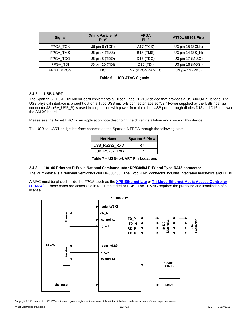| <b>Signal</b>   | <b>Xilinx Parallel IV</b><br>Pin# | <b>FPGA</b><br>Pin#   | AT90USB162 Pin#  |
|-----------------|-----------------------------------|-----------------------|------------------|
| FPGA TCK        | J6 pin 6 (TCK)                    | A17 (TCK)             | U3 pin 15 (SCLK) |
| FPGA TMS        | J6 pin 4 (TMS)                    | <b>B18 (TMS)</b>      | U3 pin 14 (SS_N) |
| FPGA TDO        | J6 pin 8 (TDO)                    | D <sub>16</sub> (TDO) | U3 pin 17 (MISO) |
| <b>FPGA TDI</b> | J6 pin 10 (TDI)                   | $D15$ (TDI)           | U3 pin 16 (MOSI) |
| FPGA_PROG       | <b>NC</b>                         | V2 (PROGRAM_B)        | U3 pin 19 (PB5)  |

| Table 6 - USB-JTAG Signals |  |
|----------------------------|--|
|----------------------------|--|

#### **2.4.2 USB-UART**

The Spartan-6 FPGA LX9 MicroBoard implements a Silicon Labs CP2102 device that provides a USB-to-UART bridge. The USB physical interface is brought out on a Tyco USB micro-B connector labeled "J3." Power supplied by the USB host via connector J3 (+5V\_USB\_B) is used in conjunction with power from the other USB port, through diodes D13 and D16 to power the S6LX9 board.

Please see the Avnet DRC for an application note describing the driver installation and usage of this device.

The USB-to-UART bridge interface connects to the Spartan-6 FPGA through the following pins:

| <b>Net Name</b> | Spartan-6 Pin # |
|-----------------|-----------------|
| USB_RS232_RXD   | R7              |
| USB_RS232_TXD   |                 |

**Table 7 – USB-to-UART Pin Locations** 

#### **2.4.3 10/100 Ethernet PHY via National Semiconductor DP83848J PHY and Tyco RJ45 connector**

The PHY device is a National Semiconductor DP83848J. The Tyco RJ45 connector includes integrated magnetics and LEDs.

A MAC must be placed inside the FPGA, such as the **XPS Ethernet Lite** or **Tri-Mode Ethernet Media Access Controller (TEMAC)**. These cores are accessible in ISE Embedded or EDK. The TEMAC requires the purchase and installation of a license.



Copyright © 2011 Avnet, Inc. AVNET and the AV logo are registered trademarks of Avnet, Inc. All other brands are property of their respective owners.

Avnet Electronics Marketing **11 of 19** Rev B 07/27/2011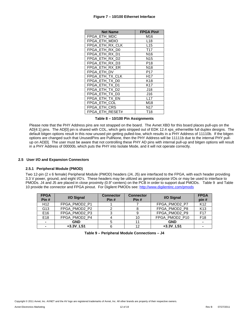#### **Figure 7 – 10/100 Ethernet Interface**

| <b>Net Name</b>   | <b>FPGA Pin#</b> |
|-------------------|------------------|
| FPGA ETH MDC      | M16              |
| FPGA ETH MDIO     | L <sub>18</sub>  |
| FPGA ETH RX CLK   | L <sub>15</sub>  |
| FPGA ETH RX D0    | T <sub>17</sub>  |
| FPGA ETH<br>RX D1 | N <sub>16</sub>  |
| FPGA ETH RX D2    | N <sub>15</sub>  |
| FPGA ETH RX D3    | P18              |
| FPGA ETH RX ER    | N <sub>18</sub>  |
| FPGA ETH DV       | P17              |
| FPGA ETH TX CLK   | H <sub>17</sub>  |
| FPGA ETH TX D0    | K18              |
| FPGA ETH TX D1    | K17              |
| FPGA ETH TX D2    | J18              |
| FPGA ETH TX D3    | J16              |
| FPGA ETH TX EN    | L <sub>17</sub>  |
| FPGA ETH COL      | M18              |
| FPGA ETH CRS      | N <sub>17</sub>  |
| FPGA ETH RESET#   | T18              |

#### **Table 8 – 10/100 Pin Assignments**

Please note that the PHY Address pins are not strapped on the board. The Avnet XBD for this board places pull-ups on the AD[4:1] pins. The AD[0] pin is shared with COL, which gets stripped out of EDK 12.4 xps\_ethernetlite full duplex designs. The default bitgen options result in this now unused pin getting pulled-low, which results in a PHY Address of 11110b. If the bitgen options are changed such that UnusedPins are PullNone, then the PHY Address will be 11111b due to the internal PHY pullup on AD[0]. The user must be aware that not controlling these PHY AD pins with internal pull-up and bitgen options will result in a PHY Address of 00000b, which puts the PHY into Isolate Mode, and it will not operate correctly.

#### **2.5 User I/O and Expansion Connectors**

#### **2.5.1 Peripheral Module (PMOD)**

Two 12-pin (2 x 6 female) Peripheral Module (PMOD) headers (J4, J5) are interfaced to the FPGA, with each header providing 3.3 V power, ground, and eight I/O's. These headers may be utilized as general-purpose I/Os or may be used to interface to PMODs. J4 and J5 are placed in close proximity (0.9"-centers) on the PCB in order to support dual PMODs. Table 9 and Table 10 provide the connector and FPGA pinout. For Digilent PMODs see: http://www.digilentinc.com/pmods

| <b>FPGA</b><br>Pin# | I/O Signal    | <b>Connector</b><br>Pin# | <b>Connector</b><br>Pin# | I/O Signal     | <b>FPGA</b><br>pin# |
|---------------------|---------------|--------------------------|--------------------------|----------------|---------------------|
| H <sub>12</sub>     | FPGA_PMOD2_P1 |                          |                          | FPGA_PMOD2_P7  | K <sub>12</sub>     |
| G13                 | FPGA_PMOD2_P2 |                          |                          | FPGA_PMOD2_P8  | K <sub>13</sub>     |
| E16                 | FPGA_PMOD2_P3 |                          |                          | FPGA_PMOD2_P9  | F <sub>17</sub>     |
| E18                 | FPGA_PMOD2_P4 |                          | 10                       | FPGA_PMOD2_P10 | F <sub>18</sub>     |
|                     | <b>GND</b>    |                          |                          | <b>GND</b>     |                     |
|                     | +3.3V LS1     |                          | 12                       | +3.3V_LS1      |                     |

|  |  |  | Table 9 - Peripheral Module Connections - J4 |  |
|--|--|--|----------------------------------------------|--|
|--|--|--|----------------------------------------------|--|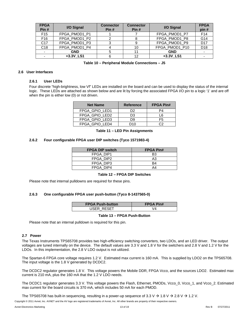| <b>FPGA</b><br>Pin# | I/O Signal               | <b>Connector</b><br>Pin# | <b>Connector</b><br>Pin# | I/O Signal     | <b>FPGA</b><br>pin# |
|---------------------|--------------------------|--------------------------|--------------------------|----------------|---------------------|
| F <sub>15</sub>     | FPGA PMOD1 P1            |                          |                          | FPGA PMOD1 P7  | F <sub>14</sub>     |
| F <sub>16</sub>     | FPGA_PMOD1_P2            |                          | 8                        | FPGA_PMOD1_P8  | G14                 |
| C <sub>17</sub>     | FPGA_PMOD1_P3            |                          | 9                        | FPGA_PMOD1_P9  | D <sub>17</sub>     |
| C <sub>18</sub>     | FPGA_PMOD1_P4            |                          | 10                       | FPGA_PMOD1_P10 | D <sub>18</sub>     |
|                     | <b>GND</b>               |                          | 11                       | <b>GND</b>     |                     |
|                     | $+3.3V$ <sub>_</sub> LS1 |                          | 12                       | +3.3V_LS1      |                     |

**Table 10 – Peripheral Module Connections – J5** 

#### **2.6 User Interfaces**

#### **2.6.1 User LEDs**

Four discrete "high-brightness, low Vf" LEDs are installed on the board and can be used to display the status of the internal logic. These LEDs are attached as shown below and are lit by forcing the associated FPGA I/O pin to a logic '1' and are off when the pin is either low (0) or not driven.

| <b>Net Name</b> | <b>Reference</b> | <b>FPGA Pin#</b> |
|-----------------|------------------|------------------|
| FPGA GPIO LED1  | D2               | PΔ               |
| FPGA GPIO LED2  | D3               | l 6              |
| FPGA GPIO LED3  | D9               | F5               |
| FPGA GPIO LED4  | D10              | ົາ               |

**Table 11 – LED Pin Assignments** 

#### **2.6.2 Four configurable FPGA user DIP switches (Tyco 1571983-4)**

| <b>FPGA DIP switch</b> | <b>FPGA Pin#</b> |
|------------------------|------------------|
| FPGA DIP1              | B3               |
| FPGA DIP2              | A3               |
| FPGA DIP3              | B4               |
| FPGA DIP4              | A4               |

#### **Table 12 – FPGA DIP Switches**

Please note that internal pulldowns are required for these pins.

#### **2.6.3 One configurable FPGA user push-button (Tyco 8-1437565-0)**

| <b>FPGA Push-button</b> | <b>FPGA Pin#</b> |
|-------------------------|------------------|
| USER RESET              |                  |

#### **Table 13 – FPGA Push-Button**

Please note that an internal pulldown is required for this pin.

#### **2.7 Power**

The Texas Instruments TPS65708 provides two high-efficiency switching converters, two LDOs, and an LED driver. The output voltages are tuned internally on the device. The default values are 3.3 V and 1.8 V for the switchers and 2.8 V and 1.2 V for the LDOs. In this implementation, the 2.8 V LDO output is not utilized.

The Spartan-6 FPGA core voltage requires 1.2 V. Estimated max current is 160 mA. This is supplied by LDO2 on the TPS65708. The input voltage is the 1.8 V generated by DCDC2.

The DCDC2 regulator generates 1.8 V. This voltage powers the Mobile DDR, FPGA Vcco, and the sources LDO2. Estimated max current is 210 mA, plus the 160 mA that the 1.2 V LDO needs.

The DCDC1 regulator generates 3.3 V. This voltage powers the Flash, Ethernet, PMODs, Vcco\_0, Vcco\_1, and Vcco\_2. Estimated max current for the board circuits is 370 mA, which includes 50 mA for each PMOD.

The TPS65708 has built-in sequencing, resulting in a power-up sequence of 3.3 V  $\rightarrow$  1.8 V  $\rightarrow$  2.8 V  $\rightarrow$  1.2 V.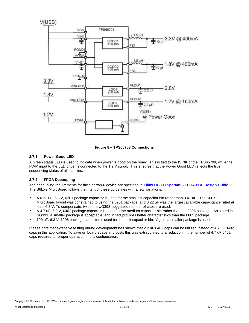



#### **2.7.1 Power Good LED**

A Green status LED is used to indicate when power is good on the board. This is tied to the ISINK of the TPS65708, while the PWM input to the LED driver is connected to the 1.2 V supply. This ensures that the Power Good LED reflects the true sequencing status of all supplies.

#### **2.7.2 FPGA Decoupling**

The decoupling requirements for the Spartan-6 device are specified in **Xilinx UG393 Spartan-6 FPGA PCB Design Guide**. The S6LX9 MicroBoard follows the intent of these quidelines with a few variations:

- A 0.22 uF, 6.3 V, 0201 package capacitor is used for the smallest capacitor bin rather than 0.47 uF. The S6LX9 MicroBoard layout was constrained to using the 0201 package, and 0.22 uF was the largest available capacitance rated at least 6.3 V. To compensate, twice the UG393-suggested number of caps are used.
- A 4.7 uF, 6.3 V, 0402 package capacitor is used for the medium capacitor bin rather than the 0805 package. As stated in UG393, a smaller package is acceptable, and in fact provides better characteristics than the 0805 package.
- 100 uF, 6.3 V, 1206 package capacitor is used for the bulk capacitor bin. Again, a smaller package is used.

Please note that extensive testing during development has shown that 2.2 uF 0402 caps can be utilized instead of 4.7 uF 0402 caps in this application. To save on board space and costs this was extrapolated to a reduction in the number of 4.7 uF 0402 caps required for proper operation in this configuration.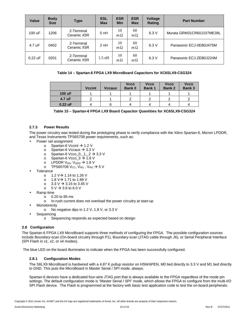| <b>Value</b> | <b>Body</b><br><b>Size</b> | <b>Type</b>               | <b>ESL</b><br><b>Max</b> | <b>ESR</b><br><b>Min</b> | <b>ESR</b><br><b>Max</b> | <b>Voltage</b><br>Rating | <b>Part Number</b>        |
|--------------|----------------------------|---------------------------|--------------------------|--------------------------|--------------------------|--------------------------|---------------------------|
| 100 uF       | 1206                       | 2-Terminal<br>Ceramic X5R | 5 nH                     | 10<br>$m\Omega$          | 60<br>$m\Omega$          | 6.3V                     | Murata GRM31CR60J107ME39L |
| 4.7 uF       | 0402                       | 2-Terminal<br>Ceramic X5R | 2 nH                     | 10<br>$m\Omega$          | 60<br>$m\Omega$          | 6.3V                     | Panasonic ECJ-0EB0J475M   |
| $0.22$ uF    | 0201                       | 2-Terminal<br>Ceramic X5R | $1.5$ nH                 | 10<br>$m\Omega$          | 60<br>$m\Omega$          | 6.3V                     | Panasonic ECJ-ZEB0J224M   |

#### **Table 14 – Spartan-6 FPGA LX9 MicroBoard Capacitors for XC6SLX9-CSG324**

|           | <b>Vccint</b> | <b>Vccaux</b> | <b>Vcco</b><br><b>Bank 0</b> | <b>Vcco</b><br>Bank 1 | <b>Vcco</b><br><b>Bank 2</b> | <b>Vcco</b><br><b>Bank 3</b> |
|-----------|---------------|---------------|------------------------------|-----------------------|------------------------------|------------------------------|
| 100 uF    |               |               |                              |                       |                              |                              |
| 4.7 uF    |               |               |                              |                       |                              |                              |
| $0.22$ uF | 4             | հ             |                              |                       |                              |                              |

| Table 15 - Spartan-6 FPGA LX9 Board Capacitor Quantities for XC6SLX9-CSG324 |  |
|-----------------------------------------------------------------------------|--|
|-----------------------------------------------------------------------------|--|

#### **2.7.3 Power Results**

The power circuitry was tested during the prototyping phase to verify compliance with the Xilinx Spartan-6, Micron LPDDR, and Texas Instruments TPS65708 power requirements, such as:

- Power rail assignment
	- o Spartan-6 Vccint  $\rightarrow$  1.2 V
	- o Spartan-6 Vccaux  $\rightarrow$  3.3 V
	- o Spartan-6 Vcco\_0,\_1,\_2  $\rightarrow$  3.3 V
	- o Spartan-6 Vcco\_3  $\rightarrow$  1.8 V
	- o LPDDR V<sub>DD</sub>, V<sub>DDQ</sub>  $\rightarrow$  1.8 V
	- o TPS65708 V<sub>CC</sub>, V<sub>IN1</sub>, V<sub>IN2</sub>  $\rightarrow$  5 V
- **Tolerance** 
	- o 1.2 V $\rightarrow$  1.14 to 1.26 V
	- o 1.8 V $\rightarrow$  1.71 to 1.89 V
	- o 3.3 V  $\rightarrow$  3.15 to 3.45 V
	- $\circ$  5 V  $\rightarrow$  3.6 to 6.0 V
- Ramp time
	- o 0.20 to 85 ms
	- o In-rush current does not overload the power circuitry at start-up
- **Monotonicity** 
	- o No negative dips in 1.2 V, 1.8 V, or 3.3 V
	- **Sequencing** 
		- o Sequencing responds as expected based on design

#### **2.8 Configuration**

The Spartan-6 FPGA LX9 MicroBoard supports three methods of configuring the FPGA. The possible configuration sources include Boundary-scan (On-board circuitry through P1), Boundary-scan (JTAG cable through J6), or Serial Peripheral Interface (SPI Flash in x1, x2, or x4 modes).

The blue LED on the board illuminates to indicate when the FPGA has been successfully configured.

#### **2.8.1 Configuration Modes**

The S6LX9 MicroBoard is hardwired with a 4.87 K pullup resistor on HSWAPEN, M0 tied directly to 3.3 V and M1 tied directly to GND. This puts the MicroBoard in Master Serial / SPI mode, always.

Spartan-6 devices have a dedicated four-wire JTAG port that is always available to the FPGA regardless of the mode pin settings. The default configuration mode is "Master Serial / SPI" mode, which allows the FPGA to configure from the multi-I/O SPI Flash device. The Flash is programmed at the factory with basic test application code to test the on-board peripherals.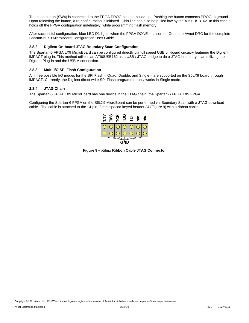The push button (SW4) is connected to the FPGA PROG pin and pulled up. Pushing the button connects PROG to ground. Upon releasing the button, a re-configuration is initiated. This line can also be pulled low by the AT90USB162. In this case it holds off the FPGA configuration indefinitely, while programming flash memory.

After successful configuration, blue LED D1 lights when the FPGA DONE is asserted. Go to the Avnet DRC for the complete Spartan-6LX9 MicroBoard Configuration User Guide.

#### **2.8.2 Digilent On-board JTAG Boundary Scan Configuration**

The Spartan-6 FPGA LX9 MicroBoard can be configured directly via full speed USB on-board circuitry featuring the Digilent iMPACT plug-in. This method utilizes an AT90USB162 as a USB / JTAG bridge to do a JTAG boundary scan utilizing the Digilent Plug-in and the USB-A connection.

#### **2.8.3 Multi-I/O SPI Flash Configuration**

All three possible I/O modes for the SPI Flash – Quad, Double, and Single – are supported on the S6LX9 board through iMPACT. Currently, the Digilent direct write SPI Flash programmer only works in Single mode.

#### **2.8.4 JTAG Chain**

The Spartan-6 FPGA LX9 MicroBoard has one device in the JTAG chain, the Spartan-6 FPGA LX9 FPGA.

Configuring the Spartan-6 FPGA on the S6LX9 MicroBoard can be performed via Boundary Scan with a JTAG download cable. The cable is attached to the 14-pin, 2 mm spaced keyed header J4 (Figure 9) with a ribbon cable.



**Figure 9 – Xilinx Ribbon Cable JTAG Connector**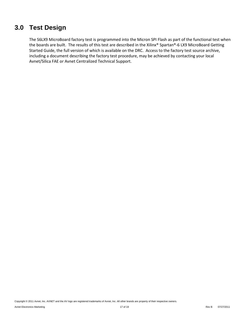### **3.0 Test Design**

The S6LX9 MicroBoard factory test is programmed into the Micron SPI Flash as part of the functional test when the boards are built. The results of this test are described in the Xilinx® Spartan®-6 LX9 MicroBoard Getting Started Guide, the full version of which is available on the DRC. Access to the factory test source archive, including a document describing the factory test procedure, may be achieved by contacting your local Avnet/Silica FAE or Avnet Centralized Technical Support.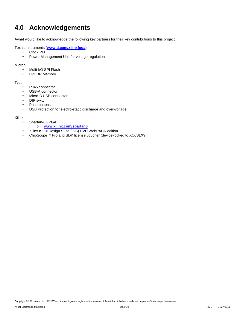# **4.0 Acknowledgements**

Avnet would like to acknowledge the following key partners for their key contributions to this project.

Texas Instruments (**www.ti.com/xilinxfpga**)

- Clock PLL
- Power Management Unit for voltage regulation

Micron

- Multi-I/O SPI Flash
- LPDDR Memory

Tyco

- RJ45 connector
- USB-A connector
- Micro-B USB connector
- DIP switch
- Push buttons
- USB Protection for electro-static discharge and over-voltage

#### Xilinx

- Spartan-6 FPGA
	- o **www.xilinx.com/spartan6**
- Xilinx ISE® Design Suite (IDS) DVD WebPACK edition
- ChipScope™ Pro and SDK license voucher (device-locked to XC6SLX9)